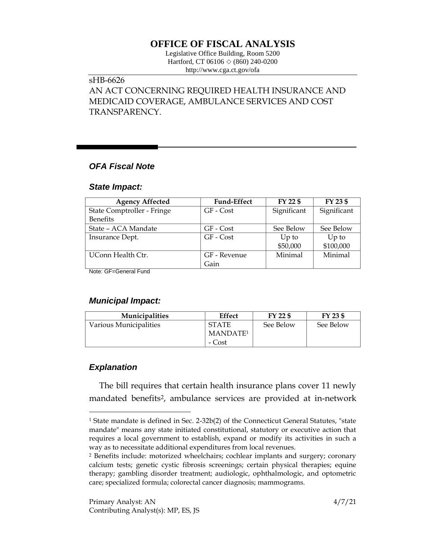## **OFFICE OF FISCAL ANALYSIS**

Legislative Office Building, Room 5200 Hartford, CT 06106 ◇ (860) 240-0200 http://www.cga.ct.gov/ofa

# sHB-6626

AN ACT CONCERNING REQUIRED HEALTH INSURANCE AND MEDICAID COVERAGE, AMBULANCE SERVICES AND COST TRANSPARENCY.

## *OFA Fiscal Note*

#### *State Impact:*

| <b>Agency Affected</b>     | <b>Fund-Effect</b> | FY 22 \$    | FY 23 \$    |
|----------------------------|--------------------|-------------|-------------|
| State Comptroller - Fringe | GF - Cost          | Significant | Significant |
| <b>Benefits</b>            |                    |             |             |
| State – ACA Mandate        | GF - Cost          | See Below   | See Below   |
| Insurance Dept.            | $GF$ - $Cost$      | $Up$ to     | $Up$ to     |
|                            |                    | \$50,000    | \$100,000   |
| UConn Health Ctr.          | GF - Revenue       | Minimal     | Minimal     |
|                            | Gain               |             |             |

Note: GF=General Fund

## *Municipal Impact:*

| Municipalities         | Effect               | FY 22 \$  | FY 23 \$  |
|------------------------|----------------------|-----------|-----------|
| Various Municipalities | <b>STATE</b>         | See Below | See Below |
|                        | MANDATE <sup>1</sup> |           |           |
|                        | - Cost               |           |           |

## *Explanation*

 $\overline{a}$ 

The bill requires that certain health insurance plans cover 11 newly mandated benefits<sup>2</sup>, ambulance services are provided at in-network

<sup>&</sup>lt;sup>1</sup> State mandate is defined in Sec. 2-32b(2) of the Connecticut General Statutes, "state mandate" means any state initiated constitutional, statutory or executive action that requires a local government to establish, expand or modify its activities in such a way as to necessitate additional expenditures from local revenues.

<sup>2</sup> Benefits include: motorized wheelchairs; cochlear implants and surgery; coronary calcium tests; genetic cystic fibrosis screenings; certain physical therapies; equine therapy; gambling disorder treatment; audiologic, ophthalmologic, and optometric care; specialized formula; colorectal cancer diagnosis; mammograms.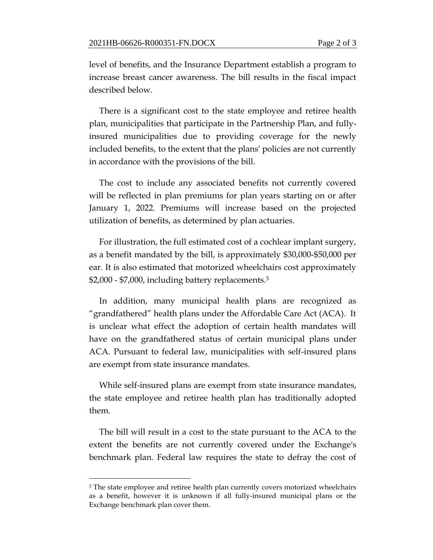level of benefits, and the Insurance Department establish a program to increase breast cancer awareness. The bill results in the fiscal impact described below.

There is a significant cost to the state employee and retiree health plan, municipalities that participate in the Partnership Plan, and fullyinsured municipalities due to providing coverage for the newly included benefits, to the extent that the plans' policies are not currently in accordance with the provisions of the bill.

The cost to include any associated benefits not currently covered will be reflected in plan premiums for plan years starting on or after January 1, 2022. Premiums will increase based on the projected utilization of benefits, as determined by plan actuaries.

For illustration, the full estimated cost of a cochlear implant surgery, as a benefit mandated by the bill, is approximately \$30,000-\$50,000 per ear. It is also estimated that motorized wheelchairs cost approximately \$2,000 - \$7,000, including battery replacements.<sup>3</sup>

In addition, many municipal health plans are recognized as "grandfathered" health plans under the Affordable Care Act (ACA). It is unclear what effect the adoption of certain health mandates will have on the grandfathered status of certain municipal plans under ACA. Pursuant to federal law, municipalities with self-insured plans are exempt from state insurance mandates.

While self-insured plans are exempt from state insurance mandates, the state employee and retiree health plan has traditionally adopted them.

The bill will result in a cost to the state pursuant to the ACA to the extent the benefits are not currently covered under the Exchange's benchmark plan. Federal law requires the state to defray the cost of

 $\overline{a}$ 

<sup>&</sup>lt;sup>3</sup> The state employee and retiree health plan currently covers motorized wheelchairs as a benefit, however it is unknown if all fully-insured municipal plans or the Exchange benchmark plan cover them.